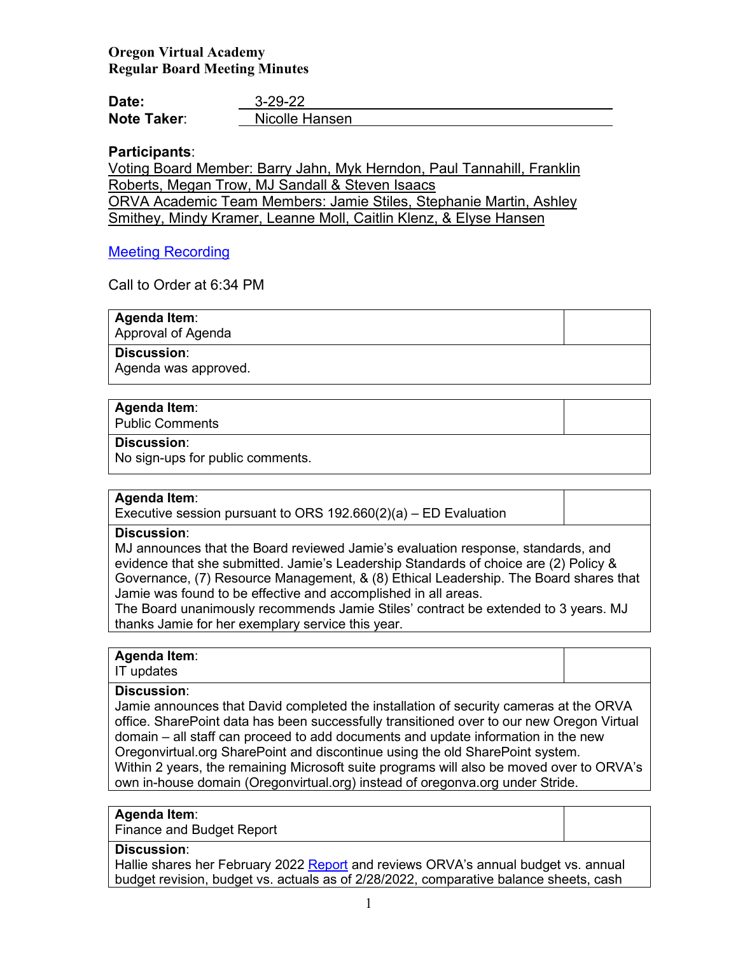# **Oregon Virtual Academy Regular Board Meeting Minutes**

| Date:              | $3 - 29 - 22$  |
|--------------------|----------------|
| <b>Note Taker:</b> | Nicolle Hansen |

# **Participants**:

Voting Board Member: Barry Jahn, Myk Herndon, Paul Tannahill, Franklin Roberts, Megan Trow, MJ Sandall & Steven Isaacs ORVA Academic Team Members: Jamie Stiles, Stephanie Martin, Ashley Smithey, Mindy Kramer, Leanne Moll, Caitlin Klenz, & Elyse Hansen

# [Meeting Recording](https://us02web.zoom.us/rec/play/I-hfYyONRYCvYEqZGaJuwspdJG5IbPqQRTC3I1eOXPkDIoUh_qkMqc4digekGaZut6AGgvVPrR-8-SLd.vr577Lxz93ruKZls)

Call to Order at 6:34 PM

**Agenda Item**: Approval of Agenda

**Discussion**:

Agenda was approved.

# **Agenda Item**:

Public Comments

## **Discussion**:

No sign-ups for public comments.

## **Agenda Item**:

Executive session pursuant to ORS 192.660(2)(a) – ED Evaluation

# **Discussion**:

MJ announces that the Board reviewed Jamie's evaluation response, standards, and evidence that she submitted. Jamie's Leadership Standards of choice are (2) Policy & Governance, (7) Resource Management, & (8) Ethical Leadership. The Board shares that Jamie was found to be effective and accomplished in all areas.

The Board unanimously recommends Jamie Stiles' contract be extended to 3 years. MJ thanks Jamie for her exemplary service this year.

# **Agenda Item**:

### IT updates

**Discussion**:

Jamie announces that David completed the installation of security cameras at the ORVA office. SharePoint data has been successfully transitioned over to our new Oregon Virtual domain – all staff can proceed to add documents and update information in the new Oregonvirtual.org SharePoint and discontinue using the old SharePoint system. Within 2 years, the remaining Microsoft suite programs will also be moved over to ORVA's own in-house domain (Oregonvirtual.org) instead of oregonva.org under Stride.

## **Agenda Item**:

Finance and Budget Report

# **Discussion**:

Hallie shares her February 2022 [Report](https://k12inc-my.sharepoint.com/:p:/r/personal/nhansen_oregonva_org/Documents/Executive%20Administrative%20Assistant/ORVA%20Board/21-22%20Board%20Packets/9-March%202022/Regular%20Board%20Meeting%203-29-22/ORVA%20FY22%20Feb%20YTD.pptx?d=wca875fa451474e7ea656a0158bb947dc&csf=1&web=1&e=2uXrAY) and reviews ORVA's annual budget vs. annual budget revision, budget vs. actuals as of 2/28/2022, comparative balance sheets, cash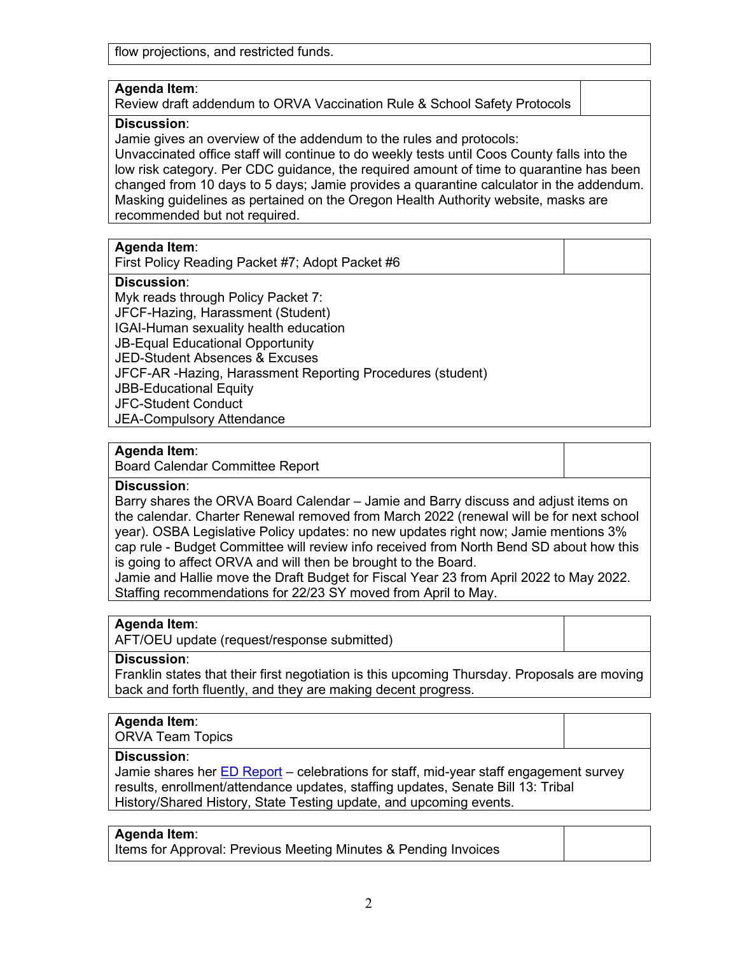flow projections, and restricted funds.

## **Agenda Item**:

Review draft addendum to ORVA Vaccination Rule & School Safety Protocols

## **Discussion**:

Jamie gives an overview of the addendum to the rules and protocols:

Unvaccinated office staff will continue to do weekly tests until Coos County falls into the low risk category. Per CDC guidance, the required amount of time to quarantine has been changed from 10 days to 5 days; Jamie provides a quarantine calculator in the addendum. Masking guidelines as pertained on the Oregon Health Authority website, masks are recommended but not required.

## **Agenda Item**:

First Policy Reading Packet #7; Adopt Packet #6

## **Discussion**:

Myk reads through Policy Packet 7: JFCF-Hazing, Harassment (Student) IGAI-Human sexuality health education JB-Equal Educational Opportunity JED-Student Absences & Excuses JFCF-AR -Hazing, Harassment Reporting Procedures (student) JBB-Educational Equity JFC-Student Conduct JEA-Compulsory Attendance

## **Agenda Item**:

Board Calendar Committee Report

## **Discussion**:

Barry shares the ORVA Board Calendar – Jamie and Barry discuss and adjust items on the calendar. Charter Renewal removed from March 2022 (renewal will be for next school year). OSBA Legislative Policy updates: no new updates right now; Jamie mentions 3% cap rule - Budget Committee will review info received from North Bend SD about how this is going to affect ORVA and will then be brought to the Board.

Jamie and Hallie move the Draft Budget for Fiscal Year 23 from April 2022 to May 2022. Staffing recommendations for 22/23 SY moved from April to May.

## **Agenda Item**:

AFT/OEU update (request/response submitted)

## **Discussion**:

Franklin states that their first negotiation is this upcoming Thursday. Proposals are moving back and forth fluently, and they are making decent progress.

## **Agenda Item**:

ORVA Team Topics

## **Discussion**:

Jamie shares her [ED Report](https://k12inc-my.sharepoint.com/:p:/g/personal/nhansen_oregonva_org/EXlbVTxI6IZAmAJnJe1pgRgBtncDYJtiTaLxhHCdZFy8vQ?e=HBf2cV) – celebrations for staff, mid-year staff engagement survey results, enrollment/attendance updates, staffing updates, Senate Bill 13: Tribal History/Shared History, State Testing update, and upcoming events.

#### **Agenda Item**:

Items for Approval: Previous Meeting Minutes & Pending Invoices